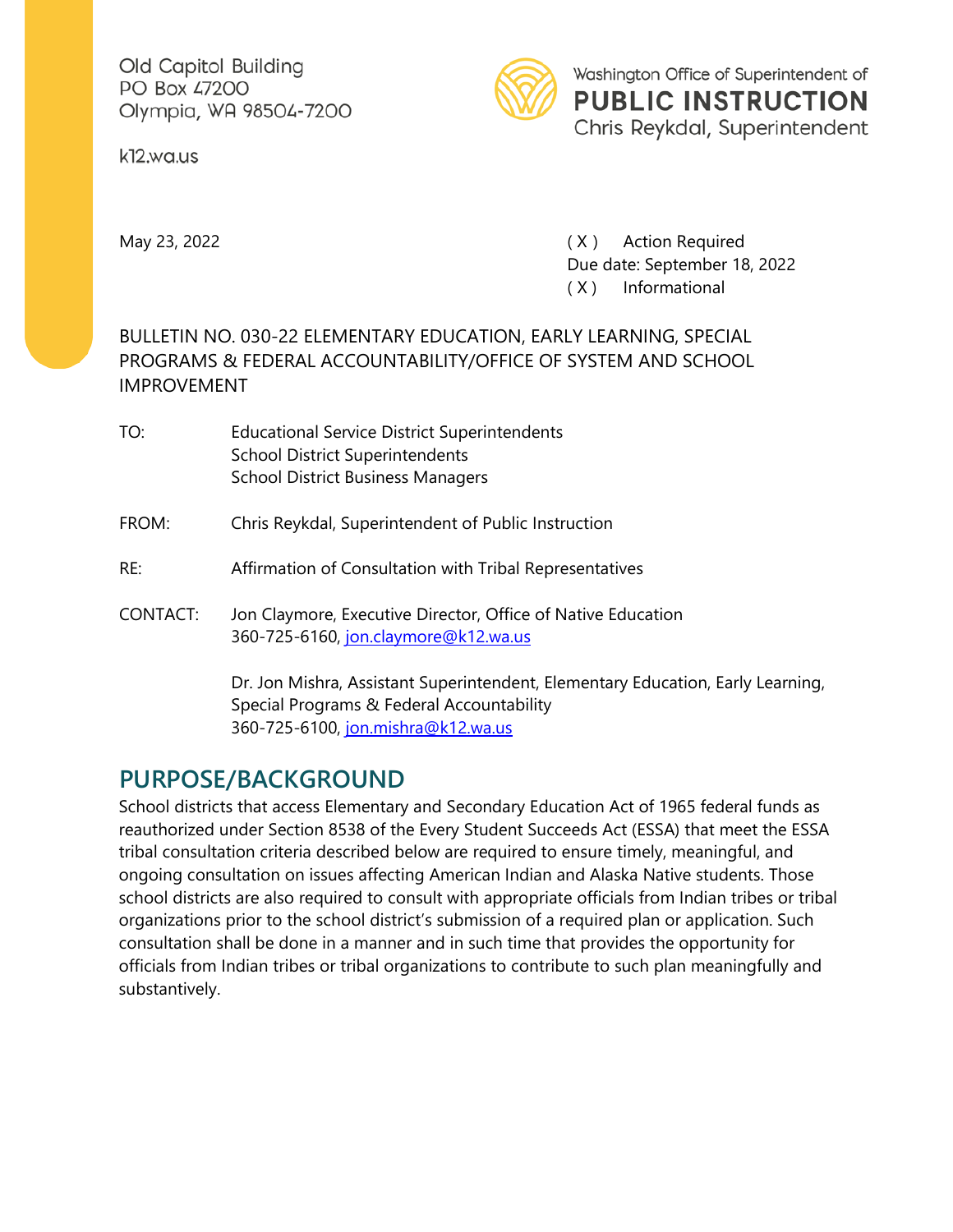Old Capitol Building PO Box 47200 Olympia, WA 98504-7200

k12.wa.us



May 23, 2022 **May 23, 2022 CONFIDENTIAL CONTRACT CONTRACT (X)** Action Required Due date: September 18, 2022 ( X ) Informational

#### BULLETIN NO. 030-22 ELEMENTARY EDUCATION, EARLY LEARNING, SPECIAL PROGRAMS & FEDERAL ACCOUNTABILITY/OFFICE OF SYSTEM AND SCHOOL IMPROVEMENT

| TO:      | <b>Educational Service District Superintendents</b><br><b>School District Superintendents</b><br><b>School District Business Managers</b> |
|----------|-------------------------------------------------------------------------------------------------------------------------------------------|
| FROM:    | Chris Reykdal, Superintendent of Public Instruction                                                                                       |
| RE:      | Affirmation of Consultation with Tribal Representatives                                                                                   |
| CONTACT: | Jon Claymore, Executive Director, Office of Native Education<br>360-725-6160, jon.claymore@k12.wa.us                                      |
|          | Dr. Jon Mishra, Assistant Superintendent, Elementary Education, Early Learning,<br>Special Programs & Federal Accountability              |

360-725-6100, [jon.mishra@k12.wa.us](mailto:jon.mishra@k12.wa.us)

## **PURPOSE/BACKGROUND**

School districts that access Elementary and Secondary Education Act of 1965 federal funds as reauthorized under Section 8538 of the Every Student Succeeds Act (ESSA) that meet the ESSA tribal consultation criteria described below are required to ensure timely, meaningful, and ongoing consultation on issues affecting American Indian and Alaska Native students. Those school districts are also required to consult with appropriate officials from Indian tribes or tribal organizations prior to the school district's submission of a required plan or application. Such consultation shall be done in a manner and in such time that provides the opportunity for officials from Indian tribes or tribal organizations to contribute to such plan meaningfully and substantively.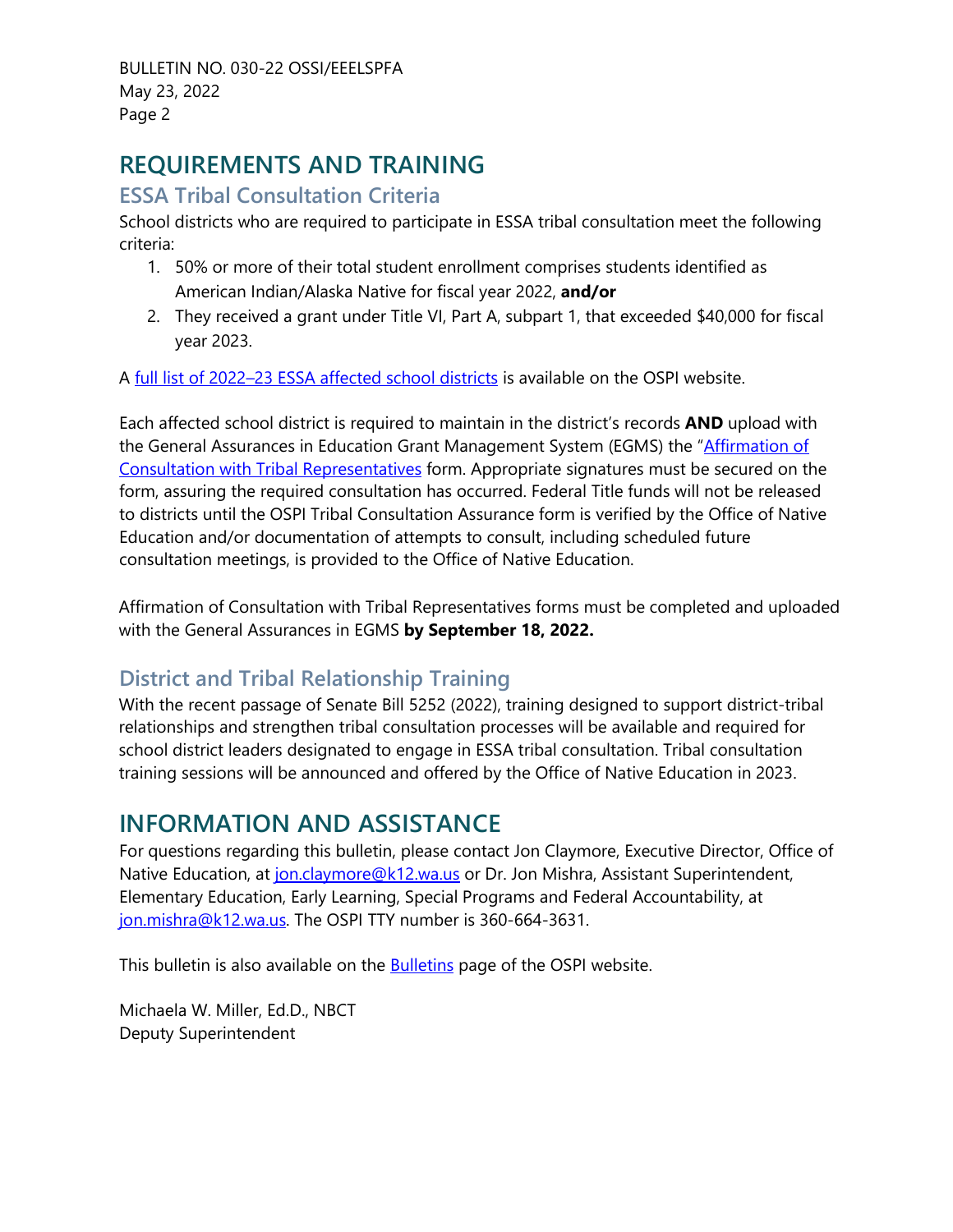BULLETIN NO. 030-22 OSSI/EEELSPFA May 23, 2022 Page 2

# **REQUIREMENTS AND TRAINING**

#### **ESSA Tribal Consultation Criteria**

School districts who are required to participate in ESSA tribal consultation meet the following criteria:

- 1. 50% or more of their total student enrollment comprises students identified as American Indian/Alaska Native for fiscal year 2022, **and/or**
- 2. They received a grant under Title VI, Part A, subpart 1, that exceeded \$40,000 for fiscal year 2023.

A [full list of 2022–23 ESSA affected school districts](https://www.k12.wa.us/sites/default/files/public/titlei/pubdocs/ESSATribalConsultationRequired.pdf) is available on the OSPI website.

Each affected school district is required to maintain in the district's records **AND** upload with the General Assurances in Education Grant Management System (EGMS) the "Affirmation of [Consultation with Tribal Representatives](https://www.k12.wa.us/sites/default/files/public/titlei/pubdocs/LEA_Tribal_Affirmation_of_Consultation_Form_FY22-23.pdf) form. Appropriate signatures must be secured on the form, assuring the required consultation has occurred. Federal Title funds will not be released to districts until the OSPI Tribal Consultation Assurance form is verified by the Office of Native Education and/or documentation of attempts to consult, including scheduled future consultation meetings, is provided to the Office of Native Education.

Affirmation of Consultation with Tribal Representatives forms must be completed and uploaded with the General Assurances in EGMS **by September 18, 2022.**

### **District and Tribal Relationship Training**

With the recent passage of Senate Bill 5252 (2022), training designed to support district-tribal relationships and strengthen tribal consultation processes will be available and required for school district leaders designated to engage in ESSA tribal consultation. Tribal consultation training sessions will be announced and offered by the Office of Native Education in 2023.

## **INFORMATION AND ASSISTANCE**

For questions regarding this bulletin, please contact Jon Claymore, Executive Director, Office of Native Education, at [jon.claymore@k12.wa.us](mailto:jon.claymore@k12.wa.us) or Dr. Jon Mishra, Assistant Superintendent, Elementary Education, Early Learning, Special Programs and Federal Accountability, at [jon.mishra@k12.wa.us.](mailto:jon.mishra@k12.wa.us) The OSPI TTY number is 360-664-3631.

This bulletin is also available on the **Bulletins** page of the OSPI website.

Michaela W. Miller, Ed.D., NBCT Deputy Superintendent